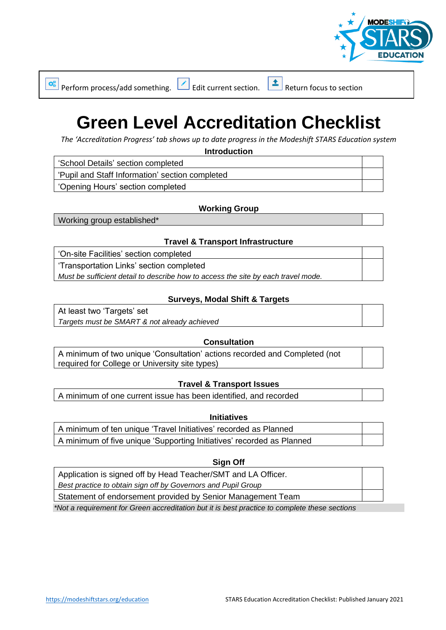

 $\frac{d}{d}$  Perform process/add something.  $\boxed{\cdot}$  Edit current section.  $\boxed{\cdot}$  Return focus to section

# **Green Level Accreditation Checklist**

*The 'Accreditation Progress' tab shows up to date progress in the Modeshift STARS Education system*

**Introduction**

'School Details' section completed

'Pupil and Staff Information' section completed

'Opening Hours' section completed

### **Working Group**

Working group established\*

### **Travel & Transport Infrastructure**

'On-site Facilities' section completed 'Transportation Links' section completed *Must be sufficient detail to describe how to access the site by each travel mode.*

### **Surveys, Modal Shift & Targets**

At least two 'Targets' set *Targets must be SMART & not already achieved*

### **Consultation**

A minimum of two unique 'Consultation' actions recorded and Completed (not required for College or University site types)

### **Travel & Transport Issues**

A minimum of one current issue has been identified, and recorded

#### **Initiatives**

A minimum of ten unique 'Travel Initiatives' recorded as Planned A minimum of five unique 'Supporting Initiatives' recorded as Planned

#### **Sign Off**

Application is signed off by Head Teacher/SMT and LA Officer. *Best practice to obtain sign off by Governors and Pupil Group*

Statement of endorsement provided by Senior Management Team

*\*Not a requirement for Green accreditation but it is best practice to complete these sections*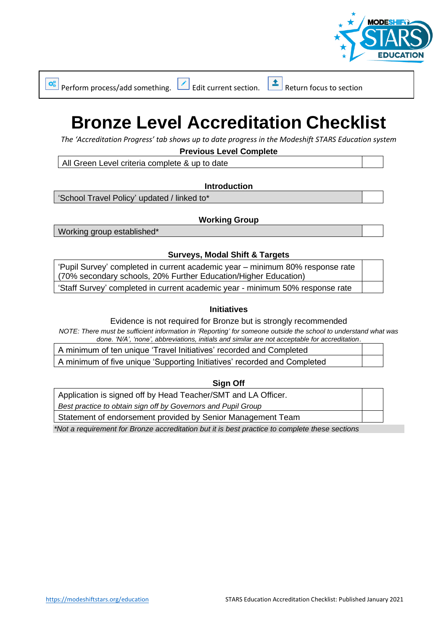

 $\boxed{\triangle}$  Perform process/add something.  $\boxed{\triangle}$  Edit current section.  $\boxed{\triangle}$  Return focus to section

# **Bronze Level Accreditation Checklist**

*The 'Accreditation Progress' tab shows up to date progress in the Modeshift STARS Education system*

**Previous Level Complete**

All Green Level criteria complete & up to date

**Introduction**

'School Travel Policy' updated / linked to\*

# **Working Group**

Working group established\*

# **Surveys, Modal Shift & Targets**

| 'Pupil Survey' completed in current academic year – minimum 80% response rate |  |
|-------------------------------------------------------------------------------|--|
| (70% secondary schools, 20% Further Education/Higher Education)               |  |
| 'Staff Survey' completed in current academic year - minimum 50% response rate |  |

# **Initiatives**

Evidence is not required for Bronze but is strongly recommended

*NOTE: There must be sufficient information in 'Reporting' for someone outside the school to understand what was done. 'N/A', 'none', abbreviations, initials and similar are not acceptable for accreditation*.

A minimum of ten unique 'Travel Initiatives' recorded and Completed

A minimum of five unique 'Supporting Initiatives' recorded and Completed

**Sign Off**

Application is signed off by Head Teacher/SMT and LA Officer.

*Best practice to obtain sign off by Governors and Pupil Group*

Statement of endorsement provided by Senior Management Team

*\*Not a requirement for Bronze accreditation but it is best practice to complete these sections*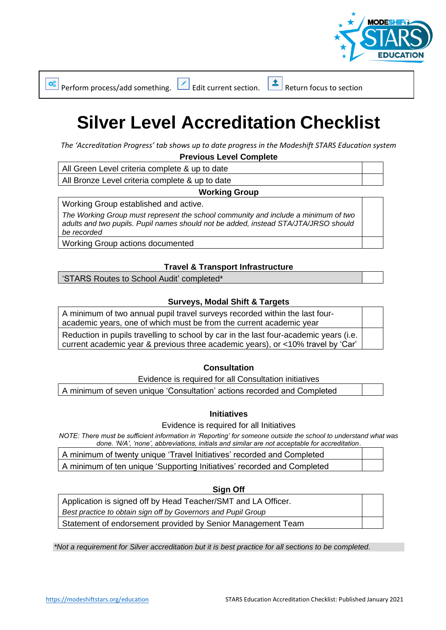

Perform process/add something.  $\Box$  Edit current section.  $\Box$  Return focus to section

 $\mathbf{Q}_{\alpha}^{\alpha}$ 

# **Silver Level Accreditation Checklist**

*The 'Accreditation Progress' tab shows up to date progress in the Modeshift STARS Education system* **Previous Level Complete**

All Green Level criteria complete & up to date

All Bronze Level criteria complete & up to date

# **Working Group**

Working Group established and active.

*The Working Group must represent the school community and include a minimum of two adults and two pupils. Pupil names should not be added, instead STA/JTA/JRSO should be recorded*

Working Group actions documented

# **Travel & Transport Infrastructure**

'STARS Routes to School Audit' completed\*

# **Surveys, Modal Shift & Targets**

A minimum of two annual pupil travel surveys recorded within the last fouracademic years, one of which must be from the current academic year Reduction in pupils travelling to school by car in the last four-academic years (i.e. current academic year & previous three academic years), or <10% travel by 'Car'

### **Consultation**

Evidence is required for all Consultation initiatives

A minimum of seven unique 'Consultation' actions recorded and Completed

### **Initiatives**

Evidence is required for all Initiatives

*NOTE: There must be sufficient information in 'Reporting' for someone outside the school to understand what was done. 'N/A', 'none', abbreviations, initials and similar are not acceptable for accreditation*.

A minimum of twenty unique 'Travel Initiatives' recorded and Completed

A minimum of ten unique 'Supporting Initiatives' recorded and Completed

#### **Sign Off**

Application is signed off by Head Teacher/SMT and LA Officer.

*Best practice to obtain sign off by Governors and Pupil Group*

Statement of endorsement provided by Senior Management Team

*\*Not a requirement for Silver accreditation but it is best practice for all sections to be completed.*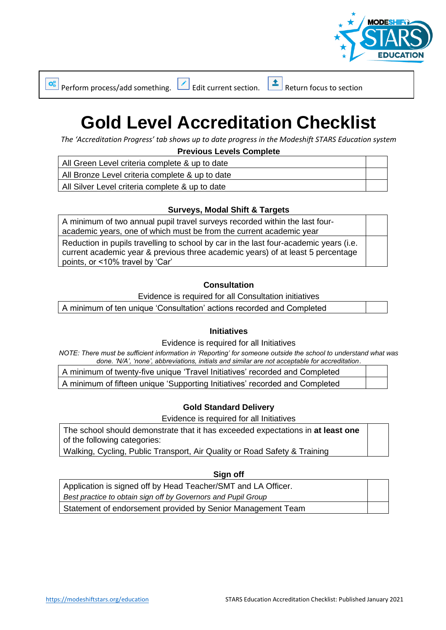

 $\boxed{\triangle}$  Perform process/add something.  $\boxed{\triangle}$  Edit current section.  $\boxed{\triangle}$  Return focus to section

# **Gold Level Accreditation Checklist**

*The 'Accreditation Progress' tab shows up to date progress in the Modeshift STARS Education system*

**Previous Levels Complete**

All Green Level criteria complete & up to date

All Bronze Level criteria complete & up to date

All Silver Level criteria complete & up to date

# **Surveys, Modal Shift & Targets**

A minimum of two annual pupil travel surveys recorded within the last fouracademic years, one of which must be from the current academic year

Reduction in pupils travelling to school by car in the last four-academic years (i.e. current academic year & previous three academic years) of at least 5 percentage points, or <10% travel by 'Car'

# **Consultation**

Evidence is required for all Consultation initiatives

A minimum of ten unique 'Consultation' actions recorded and Completed

### **Initiatives**

Evidence is required for all Initiatives

*NOTE: There must be sufficient information in 'Reporting' for someone outside the school to understand what was done. 'N/A', 'none', abbreviations, initials and similar are not acceptable for accreditation*.

| A minimum of twenty-five unique 'Travel Initiatives' recorded and Completed |  |
|-----------------------------------------------------------------------------|--|
| A minimum of fifteen unique 'Supporting Initiatives' recorded and Completed |  |

# **Gold Standard Delivery**

Evidence is required for all Initiatives

The school should demonstrate that it has exceeded expectations in **at least one** of the following categories:

Walking, Cycling, Public Transport, Air Quality or Road Safety & Training

### **Sign off**

| Application is signed off by Head Teacher/SMT and LA Officer. |  |
|---------------------------------------------------------------|--|
| Best practice to obtain sign off by Governors and Pupil Group |  |
| Statement of endorsement provided by Senior Management Team   |  |